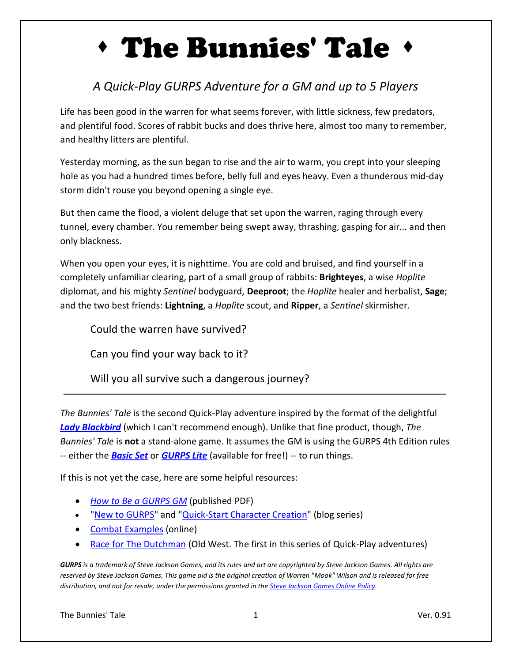# The Bunnies' Tale

### *A Quick-Play GURPS Adventure for a GM and up to 5 Players*

Life has been good in the warren for what seems forever, with little sickness, few predators, and plentiful food. Scores of rabbit bucks and does thrive here, almost too many to remember, and healthy litters are plentiful.

Yesterday morning, as the sun began to rise and the air to warm, you crept into your sleeping hole as you had a hundred times before, belly full and eyes heavy. Even a thunderous mid-day storm didn't rouse you beyond opening a single eye.

But then came the flood, a violent deluge that set upon the warren, raging through every tunnel, every chamber. You remember being swept away, thrashing, gasping for air... and then only blackness.

When you open your eyes, it is nighttime. You are cold and bruised, and find yourself in a completely unfamiliar clearing, part of a small group of rabbits: **Brighteyes**, a wise *Hoplite* diplomat, and his mighty *Sentinel* bodyguard, **Deeproot**; the *Hoplite* healer and herbalist, **Sage**; and the two best friends: **Lightning**, a *Hoplite* scout, and **Ripper**, a *Sentinel* skirmisher.

Could the warren have survived?

Can you find your way back to it?

Will you all survive such a dangerous journey?

*The Bunnies' Tale* is the second Quick-Play adventure inspired by the format of the delightful *[Lady Blackbird](http://www.onesevendesign.com/ladyblackbird/)* (which I can't recommend enough). Unlike that fine product, though, *The Bunnies' Tale* is **not** a stand-alone game. It assumes the GM is using the GURPS 4th Edition rules -- either the *[Basic Set](http://www.sjgames.com/gurps/books/Basic/)* or *[GURPS Lite](http://www.sjgames.com/gurps/lite/)* (available for free!) -- to run things.

If this is not yet the case, here are some helpful resources:

- *[How to Be a GURPS GM](http://www.sjgames.com/gurps/books/howtobeagurpsgm/)* (published PDF)
- ["New to GURPS"](http://www.themook.net/gamegeekery/series/new-to-gurps/) and ["Quick-Start Character Creation"](http://www.themook.net/gamegeekery/series/quick-start/) (blog series)
- [Combat Examples](http://www.themook.net/rpg/examples/) (online)
- [Race for The Dutchman](http://www.themook.net/gamegeekery/race-for-the-dutchman/) (Old West. The first in this series of Quick-Play adventures)

*GURPS is a trademark of Steve Jackson Games, and its rules and art are copyrighted by Steve Jackson Games. All rights are reserved by Steve Jackson Games. This game aid is the original creation of Warren "Mook" Wilson and is released for free distribution, and not for resale, under the permissions granted in the [Steve Jackson Games Online Policy.](http://www.sjgames.com/general/online_policy.html)*

The Bunnies' Tale 1 and 1 and 1 and 1 and 1 and 1 and 1 and 1 and 1 and 1 and 1 and 1 and 1 and 1 and 1 and 1 and 1 and 1 and 1 and 1 and 1 and 1 and 1 and 1 and 1 and 1 and 1 and 1 and 1 and 1 and 1 and 1 and 1 and 1 and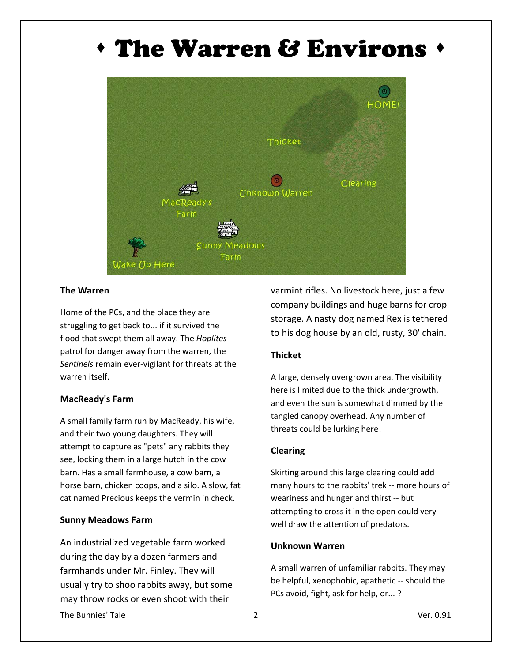### The Warren & Environs



#### **The Warren**

Home of the PCs, and the place they are struggling to get back to... if it survived the flood that swept them all away. The *Hoplites*  patrol for danger away from the warren, the *Sentinels* remain ever-vigilant for threats at the warren itself.

#### **MacReady's Farm**

A small family farm run by MacReady, his wife, and their two young daughters. They will attempt to capture as "pets" any rabbits they see, locking them in a large hutch in the cow barn. Has a small farmhouse, a cow barn, a horse barn, chicken coops, and a silo. A slow, fat cat named Precious keeps the vermin in check.

#### **Sunny Meadows Farm**

An industrialized vegetable farm worked during the day by a dozen farmers and farmhands under Mr. Finley. They will usually try to shoo rabbits away, but some may throw rocks or even shoot with their

varmint rifles. No livestock here, just a few company buildings and huge barns for crop storage. A nasty dog named Rex is tethered to his dog house by an old, rusty, 30' chain.

#### **Thicket**

A large, densely overgrown area. The visibility here is limited due to the thick undergrowth, and even the sun is somewhat dimmed by the tangled canopy overhead. Any number of threats could be lurking here!

#### **Clearing**

Skirting around this large clearing could add many hours to the rabbits' trek -- more hours of weariness and hunger and thirst -- but attempting to cross it in the open could very well draw the attention of predators.

#### **Unknown Warren**

A small warren of unfamiliar rabbits. They may be helpful, xenophobic, apathetic -- should the PCs avoid, fight, ask for help, or... ?

The Bunnies' Tale 2 2 2 2 2 Ver. 0.91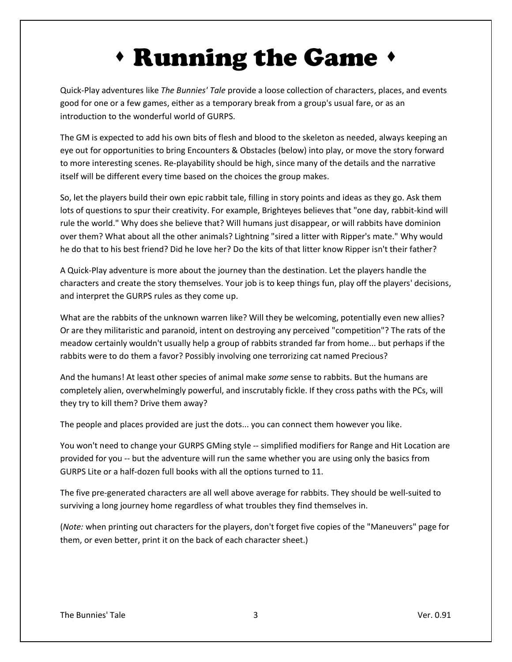### Running the Game

Quick-Play adventures like *The Bunnies' Tale* provide a loose collection of characters, places, and events good for one or a few games, either as a temporary break from a group's usual fare, or as an introduction to the wonderful world of GURPS.

The GM is expected to add his own bits of flesh and blood to the skeleton as needed, always keeping an eye out for opportunities to bring Encounters & Obstacles (below) into play, or move the story forward to more interesting scenes. Re-playability should be high, since many of the details and the narrative itself will be different every time based on the choices the group makes.

So, let the players build their own epic rabbit tale, filling in story points and ideas as they go. Ask them lots of questions to spur their creativity. For example, Brighteyes believes that "one day, rabbit-kind will rule the world." Why does she believe that? Will humans just disappear, or will rabbits have dominion over them? What about all the other animals? Lightning "sired a litter with Ripper's mate." Why would he do that to his best friend? Did he love her? Do the kits of that litter know Ripper isn't their father?

A Quick-Play adventure is more about the journey than the destination. Let the players handle the characters and create the story themselves. Your job is to keep things fun, play off the players' decisions, and interpret the GURPS rules as they come up.

What are the rabbits of the unknown warren like? Will they be welcoming, potentially even new allies? Or are they militaristic and paranoid, intent on destroying any perceived "competition"? The rats of the meadow certainly wouldn't usually help a group of rabbits stranded far from home... but perhaps if the rabbits were to do them a favor? Possibly involving one terrorizing cat named Precious?

And the humans! At least other species of animal make *some* sense to rabbits. But the humans are completely alien, overwhelmingly powerful, and inscrutably fickle. If they cross paths with the PCs, will they try to kill them? Drive them away?

The people and places provided are just the dots... you can connect them however you like.

You won't need to change your GURPS GMing style -- simplified modifiers for Range and Hit Location are provided for you -- but the adventure will run the same whether you are using only the basics from GURPS Lite or a half-dozen full books with all the options turned to 11.

The five pre-generated characters are all well above average for rabbits. They should be well-suited to surviving a long journey home regardless of what troubles they find themselves in.

(*Note:* when printing out characters for the players, don't forget five copies of the "Maneuvers" page for them, or even better, print it on the back of each character sheet.)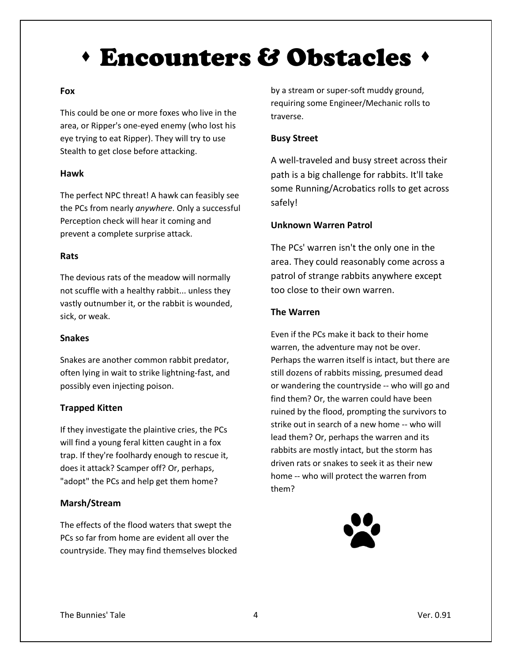### Encounters & Obstacles

#### **Fox**

This could be one or more foxes who live in the area, or Ripper's one-eyed enemy (who lost his eye trying to eat Ripper). They will try to use Stealth to get close before attacking.

#### **Hawk**

The perfect NPC threat! A hawk can feasibly see the PCs from nearly *anywhere*. Only a successful Perception check will hear it coming and prevent a complete surprise attack.

#### **Rats**

The devious rats of the meadow will normally not scuffle with a healthy rabbit... unless they vastly outnumber it, or the rabbit is wounded, sick, or weak.

#### **Snakes**

Snakes are another common rabbit predator, often lying in wait to strike lightning-fast, and possibly even injecting poison.

#### **Trapped Kitten**

If they investigate the plaintive cries, the PCs will find a young feral kitten caught in a fox trap. If they're foolhardy enough to rescue it, does it attack? Scamper off? Or, perhaps, "adopt" the PCs and help get them home?

#### **Marsh/Stream**

The effects of the flood waters that swept the PCs so far from home are evident all over the countryside. They may find themselves blocked

by a stream or super-soft muddy ground, requiring some Engineer/Mechanic rolls to traverse.

#### **Busy Street**

A well-traveled and busy street across their path is a big challenge for rabbits. It'll take some Running/Acrobatics rolls to get across safely!

#### **Unknown Warren Patrol**

The PCs' warren isn't the only one in the area. They could reasonably come across a patrol of strange rabbits anywhere except too close to their own warren.

#### **The Warren**

Even if the PCs make it back to their home warren, the adventure may not be over. Perhaps the warren itself is intact, but there are still dozens of rabbits missing, presumed dead or wandering the countryside -- who will go and find them? Or, the warren could have been ruined by the flood, prompting the survivors to strike out in search of a new home -- who will lead them? Or, perhaps the warren and its rabbits are mostly intact, but the storm has driven rats or snakes to seek it as their new home -- who will protect the warren from them?

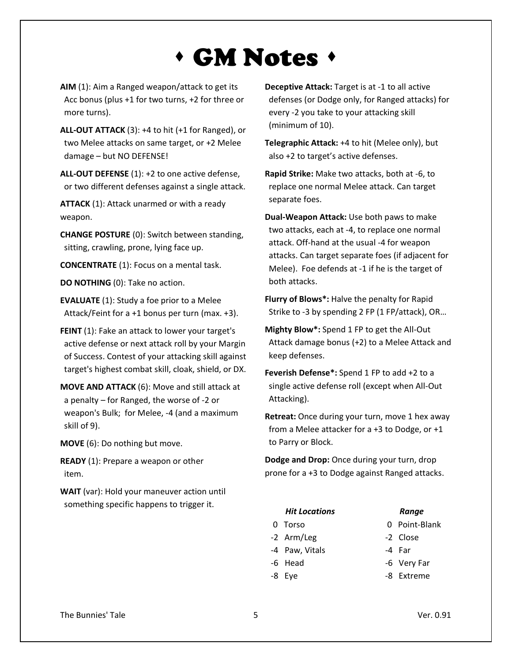### GM Notes

- **AIM** (1): Aim a Ranged weapon/attack to get its Acc bonus (plus +1 for two turns, +2 for three or more turns).
- **ALL-OUT ATTACK** (3): +4 to hit (+1 for Ranged), or two Melee attacks on same target, or +2 Melee damage – but NO DEFENSE!

**ALL-OUT DEFENSE** (1): +2 to one active defense, or two different defenses against a single attack.

**ATTACK** (1): Attack unarmed or with a ready weapon.

**CHANGE POSTURE** (0): Switch between standing, sitting, crawling, prone, lying face up.

**CONCENTRATE** (1): Focus on a mental task.

**DO NOTHING** (0): Take no action.

**EVALUATE** (1): Study a foe prior to a Melee Attack/Feint for a +1 bonus per turn (max. +3).

**FEINT** (1): Fake an attack to lower your target's active defense or next attack roll by your Margin of Success. Contest of your attacking skill against target's highest combat skill, cloak, shield, or DX.

**MOVE AND ATTACK** (6): Move and still attack at a penalty – for Ranged, the worse of -2 or weapon's Bulk; for Melee, -4 (and a maximum skill of 9).

**MOVE** (6): Do nothing but move.

**READY** (1): Prepare a weapon or other item.

**WAIT** (var): Hold your maneuver action until something specific happens to trigger it.

**Deceptive Attack:** Target is at -1 to all active defenses (or Dodge only, for Ranged attacks) for every -2 you take to your attacking skill (minimum of 10).

**Telegraphic Attack:** +4 to hit (Melee only), but also +2 to target's active defenses.

**Rapid Strike:** Make two attacks, both at -6, to replace one normal Melee attack. Can target separate foes.

**Dual-Weapon Attack:** Use both paws to make two attacks, each at -4, to replace one normal attack. Off-hand at the usual -4 for weapon attacks. Can target separate foes (if adjacent for Melee). Foe defends at -1 if he is the target of both attacks.

**Flurry of Blows\*:** Halve the penalty for Rapid Strike to -3 by spending 2 FP (1 FP/attack), OR…

**Mighty Blow\*:** Spend 1 FP to get the All-Out Attack damage bonus (+2) to a Melee Attack and keep defenses.

**Feverish Defense\*:** Spend 1 FP to add +2 to a single active defense roll (except when All-Out Attacking).

**Retreat:** Once during your turn, move 1 hex away from a Melee attacker for a +3 to Dodge, or +1 to Parry or Block.

**Dodge and Drop:** Once during your turn, drop prone for a +3 to Dodge against Ranged attacks.

| <b>Hit Locations</b> | Range         |
|----------------------|---------------|
| 0 Torso              | 0 Point-Blank |
| -2 Arm/Leg           | -2 Close      |
| -4 Paw, Vitals       | -4 Far        |
| -6 Head              | -6 Very Far   |
| -8 Eve               | -8 Extreme    |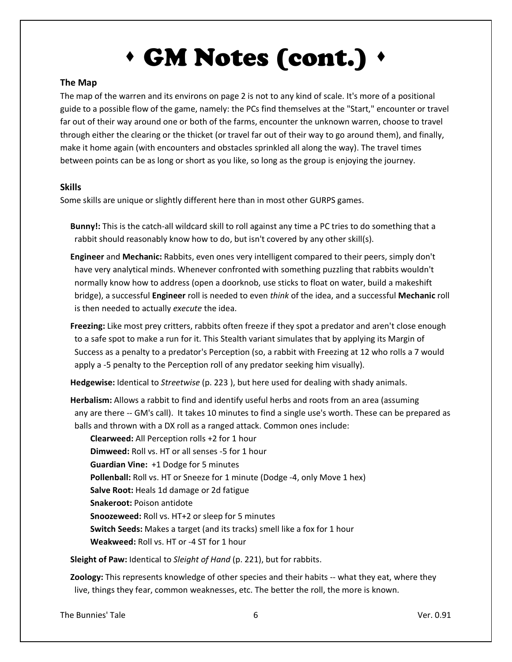## GM Notes (cont.)  $\triangleleft$

#### **The Map**

The map of the warren and its environs on page 2 is not to any kind of scale. It's more of a positional guide to a possible flow of the game, namely: the PCs find themselves at the "Start," encounter or travel far out of their way around one or both of the farms, encounter the unknown warren, choose to travel through either the clearing or the thicket (or travel far out of their way to go around them), and finally, make it home again (with encounters and obstacles sprinkled all along the way). The travel times between points can be as long or short as you like, so long as the group is enjoying the journey.

#### **Skills**

Some skills are unique or slightly different here than in most other GURPS games.

 **Bunny!:** This is the catch-all wildcard skill to roll against any time a PC tries to do something that a rabbit should reasonably know how to do, but isn't covered by any other skill(s).

- **Engineer** and **Mechanic:** Rabbits, even ones very intelligent compared to their peers, simply don't have very analytical minds. Whenever confronted with something puzzling that rabbits wouldn't normally know how to address (open a doorknob, use sticks to float on water, build a makeshift bridge), a successful **Engineer** roll is needed to even *think* of the idea, and a successful **Mechanic** roll is then needed to actually *execute* the idea.
- **Freezing:** Like most prey critters, rabbits often freeze if they spot a predator and aren't close enough to a safe spot to make a run for it. This Stealth variant simulates that by applying its Margin of Success as a penalty to a predator's Perception (so, a rabbit with Freezing at 12 who rolls a 7 would apply a -5 penalty to the Perception roll of any predator seeking him visually).

 **Hedgewise:** Identical to *Streetwise* (p. 223 ), but here used for dealing with shady animals.

 **Herbalism:** Allows a rabbit to find and identify useful herbs and roots from an area (assuming any are there -- GM's call). It takes 10 minutes to find a single use's worth. These can be prepared as balls and thrown with a DX roll as a ranged attack. Common ones include:

**Clearweed:** All Perception rolls +2 for 1 hour **Dimweed:** Roll vs. HT or all senses -5 for 1 hour **Guardian Vine:** +1 Dodge for 5 minutes Pollenball: Roll vs. HT or Sneeze for 1 minute (Dodge -4, only Move 1 hex) **Salve Root:** Heals 1d damage or 2d fatigue **Snakeroot:** Poison antidote **Snoozeweed:** Roll vs. HT+2 or sleep for 5 minutes **Switch Seeds:** Makes a target (and its tracks) smell like a fox for 1 hour **Weakweed:** Roll vs. HT or -4 ST for 1 hour

 **Sleight of Paw:** Identical to *Sleight of Hand* (p. 221), but for rabbits.

 **Zoology:** This represents knowledge of other species and their habits -- what they eat, where they live, things they fear, common weaknesses, etc. The better the roll, the more is known.

The Bunnies' Tale 6 Ver. 0.91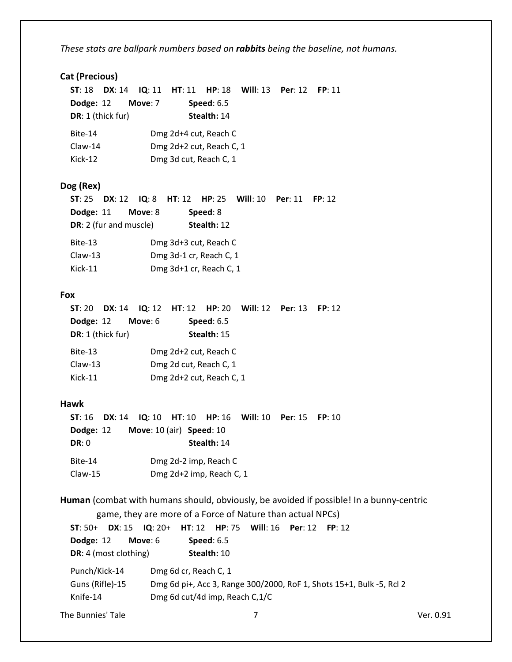*These stats are ballpark numbers based on rabbits being the baseline, not humans.*

#### **Cat (Precious)**

|                   | $ST: 18$ $DX: 14$ |         |                          | $IQ: 11$ HT: 11 HP: 18 Will: 13 Per: 12 | FP: 11 |
|-------------------|-------------------|---------|--------------------------|-----------------------------------------|--------|
| Dodge: 12         |                   | Move: 7 | Speed: $6.5$             |                                         |        |
| DR: 1 (thick fur) |                   |         | Stealth: 14              |                                         |        |
| Bite-14           |                   |         | Dmg 2d+4 cut, Reach C    |                                         |        |
| $Claw-14$         |                   |         | Dmg 2d+2 cut, Reach C, 1 |                                         |        |
| Kick-12           |                   |         | Dmg 3d cut, Reach C, 1   |                                         |        |
| Dog (Rex)         |                   |         |                          |                                         |        |

 **ST**: 25 **DX**: 12 **IQ**: 8 **HT**: 12 **HP**: 25 **Will**: 10 **Per**: 11 **FP**: 12  **Dodge:** 11 **Move**: 8 **Speed**: 8  **DR**: 2 (fur and muscle) **Stealth:** 12 Bite-13 Dmg 3d+3 cut, Reach C Claw-13 Dmg 3d-1 cr, Reach C, 1 Kick-11 Dmg 3d+1 cr, Reach C, 1

#### **Fox**

| ST:20             |           |                          | <b>DX:</b> 14 $\,$ 10: 12 $\,$ HT: 12 $\,$ HP: 20 $\,$ Will: 12 $\,$ Per: 13 | FP: 12 |
|-------------------|-----------|--------------------------|------------------------------------------------------------------------------|--------|
| Dodge: 12         | Move: $6$ | Speed: $6.5$             |                                                                              |        |
| DR: 1 (thick fur) |           | Stealth: 15              |                                                                              |        |
| Bite-13           |           | Dmg 2d+2 cut, Reach C    |                                                                              |        |
| $Claw-13$         |           | Dmg 2d cut, Reach C, 1   |                                                                              |        |
| Kick-11           |           | Dmg 2d+2 cut, Reach C, 1 |                                                                              |        |
|                   |           |                          |                                                                              |        |

#### **Hawk**

|              | <b>ST:</b> 16 <b>DX:</b> 14 <b>IQ:</b> 10 <b>HT:</b> 10 <b>HP:</b> 16 <b>Will:</b> 10 <b>Per:</b> 15 <b>FP:</b> 10 |             |  |  |
|--------------|--------------------------------------------------------------------------------------------------------------------|-------------|--|--|
| Dodge: 12    | <b>Move:</b> $10$ (air) <b>Speed:</b> $10$                                                                         |             |  |  |
| <b>DR: 0</b> |                                                                                                                    | Stealth: 14 |  |  |
| Bite-14      | Dmg 2d-2 imp, Reach C                                                                                              |             |  |  |
| $Claw-15$    | Dmg 2d+2 imp, Reach C, 1                                                                                           |             |  |  |

**Human** (combat with humans should, obviously, be avoided if possible! In a bunny-centric

game, they are more of a Force of Nature than actual NPCs)

```
 ST: 50+ DX: 15 IQ: 20+ HT: 12 HP: 75 Will: 16 Per: 12 FP: 12
 Dodge: 12 Move: 6 Speed: 6.5
DR: 4 (most clothing) Stealth: 10
 Punch/Kick-14 Dmg 6d cr, Reach C, 1
 Guns (Rifle)-15 Dmg 6d pi+, Acc 3, Range 300/2000, RoF 1, Shots 15+1, Bulk -5, Rcl 2
 Knife-14 Dmg 6d cut/4d imp, Reach C,1/C
```

```
The Bunnies' Tale 7 The Bunnies' Tale 7 The Bunnies' Tale 7 The Bunnies' Tale 7 The Bunnies' Tale 7 The New Yer. 0.91
```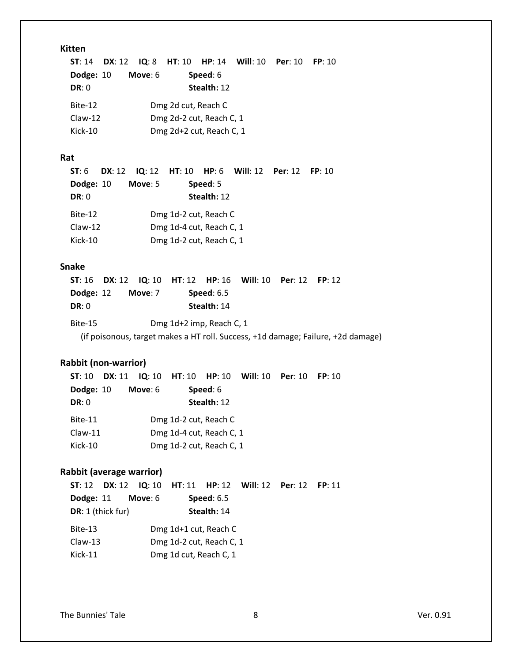#### **Kitten**

|              |           |                          | <b>ST:</b> 14 <b>DX:</b> 12 <b>IQ:</b> 8 <b>HT:</b> 10 <b>HP:</b> 14 <b>Will:</b> 10 <b>Per:</b> 10 <b>FP:</b> 10 |  |
|--------------|-----------|--------------------------|-------------------------------------------------------------------------------------------------------------------|--|
| Dodge: 10    | Move: $6$ | Speed: 6                 |                                                                                                                   |  |
| <b>DR: 0</b> |           | Stealth: 12              |                                                                                                                   |  |
| Bite-12      |           | Dmg 2d cut, Reach C      |                                                                                                                   |  |
| $Claw-12$    |           | Dmg 2d-2 cut, Reach C, 1 |                                                                                                                   |  |
| Kick-10      |           | Dmg 2d+2 cut, Reach C, 1 |                                                                                                                   |  |

#### **Rat**

|           | <b>ST: 6 DX: 12 IQ: 12 HT: 10 HP: 6 Will: 12 Per: 12 FP: 10</b> |                          |             |  |  |
|-----------|-----------------------------------------------------------------|--------------------------|-------------|--|--|
| Dodge: 10 | Move: $5$                                                       |                          | Speed: 5    |  |  |
| DR: 0     |                                                                 |                          | Stealth: 12 |  |  |
| Bite-12   |                                                                 | Dmg 1d-2 cut, Reach C    |             |  |  |
| $Claw-12$ |                                                                 | Dmg 1d-4 cut, Reach C, 1 |             |  |  |
| Kick-10   |                                                                 | Dmg 1d-2 cut, Reach C, 1 |             |  |  |

#### **Snake**

|           | <b>ST:</b> 16 <b>DX:</b> 12 <b>IQ:</b> 10 <b>HT:</b> 12 <b>HP:</b> 16 <b>Will:</b> 10 <b>Per:</b> 12 <b>FP:</b> 12 |                          |  |  |
|-----------|--------------------------------------------------------------------------------------------------------------------|--------------------------|--|--|
| Dodge: 12 | Move: 7                                                                                                            | Speed: $6.5$             |  |  |
| DR: 0     |                                                                                                                    | Stealth: 14              |  |  |
| Bite-15   |                                                                                                                    | Dmg 1d+2 imp, Reach C, 1 |  |  |
|           | (if poisonous, target makes a HT roll. Success, +1d damage; Failure, +2d damage)                                   |                          |  |  |

#### **Rabbit (non-warrior)**

| ST: 10 DX: 11 IQ: 10 HT: 10 HP: 10 Will: 10 Per: 10 FP: 10 |
|------------------------------------------------------------|
|                                                            |
|                                                            |
|                                                            |
|                                                            |
|                                                            |
|                                                            |

#### **Rabbit (average warrior)**

| ST: 12 DX: 12 IQ: 10 HT: 11 HP: 12 Will: 12 Per: 12 FP: 11 |           |                          |  |  |
|------------------------------------------------------------|-----------|--------------------------|--|--|
| Dodge: 11                                                  | Move: $6$ | <b>Speed: 6.5</b>        |  |  |
| DR: 1 (thick fur)                                          |           | Stealth: 14              |  |  |
| Bite-13                                                    |           | Dmg 1d+1 cut, Reach C    |  |  |
| $Claw-13$                                                  |           | Dmg 1d-2 cut, Reach C, 1 |  |  |
| Kick-11                                                    |           | Dmg 1d cut, Reach C, 1   |  |  |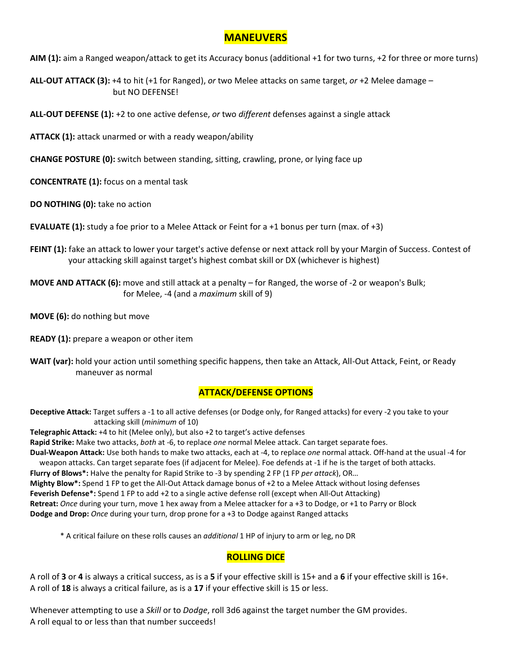#### **MANEUVERS**

**AIM (1):** aim a Ranged weapon/attack to get its Accuracy bonus (additional +1 for two turns, +2 for three or more turns)

**ALL-OUT ATTACK (3):** +4 to hit (+1 for Ranged), *or* two Melee attacks on same target, *or* +2 Melee damage – but NO DEFENSE!

**ALL-OUT DEFENSE (1):** +2 to one active defense, *or* two *different* defenses against a single attack

**ATTACK (1):** attack unarmed or with a ready weapon/ability

**CHANGE POSTURE (0):** switch between standing, sitting, crawling, prone, or lying face up

**CONCENTRATE (1):** focus on a mental task

**DO NOTHING (0):** take no action

**EVALUATE (1):** study a foe prior to a Melee Attack or Feint for a +1 bonus per turn (max. of +3)

**FEINT (1):** fake an attack to lower your target's active defense or next attack roll by your Margin of Success. Contest of your attacking skill against target's highest combat skill or DX (whichever is highest)

**MOVE AND ATTACK (6):** move and still attack at a penalty – for Ranged, the worse of -2 or weapon's Bulk; for Melee, -4 (and a *maximum* skill of 9)

**MOVE (6):** do nothing but move

- **READY (1):** prepare a weapon or other item
- **WAIT (var):** hold your action until something specific happens, then take an Attack, All-Out Attack, Feint, or Ready maneuver as normal

#### **ATTACK/DEFENSE OPTIONS**

**Deceptive Attack:** Target suffers a -1 to all active defenses (or Dodge only, for Ranged attacks) for every -2 you take to your attacking skill (*minimum* of 10)

**Telegraphic Attack:** +4 to hit (Melee only), but also +2 to target's active defenses

**Rapid Strike:** Make two attacks, *both* at -6, to replace *one* normal Melee attack. Can target separate foes. **Dual-Weapon Attack:** Use both hands to make two attacks, each at -4, to replace *one* normal attack. Off-hand at the usual -4 for

 weapon attacks. Can target separate foes (if adjacent for Melee). Foe defends at -1 if he is the target of both attacks. **Flurry of Blows\*:** Halve the penalty for Rapid Strike to -3 by spending 2 FP (1 FP *per attack*), OR… **Mighty Blow\*:** Spend 1 FP to get the All-Out Attack damage bonus of +2 to a Melee Attack without losing defenses **Feverish Defense\*:** Spend 1 FP to add +2 to a single active defense roll (except when All-Out Attacking) **Retreat:** *Once* during your turn, move 1 hex away from a Melee attacker for a +3 to Dodge, or +1 to Parry or Block **Dodge and Drop:** *Once* during your turn, drop prone for a +3 to Dodge against Ranged attacks

\* A critical failure on these rolls causes an *additional* 1 HP of injury to arm or leg, no DR

#### **ROLLING DICE**

A roll of **3** or **4** is always a critical success, as is a **5** if your effective skill is 15+ and a **6** if your effective skill is 16+. A roll of **18** is always a critical failure, as is a **17** if your effective skill is 15 or less.

Whenever attempting to use a *Skill* or to *Dodge*, roll 3d6 against the target number the GM provides. A roll equal to or less than that number succeeds!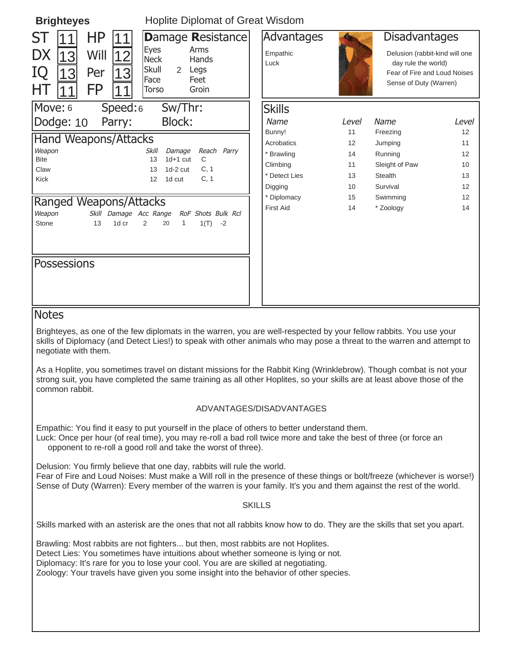| <b>Hoplite Diplomat of Great Wisdom</b><br><b>Brighteyes</b>                         |                                                                                                                                      |                                 |             |                                                                                                                                         |             |
|--------------------------------------------------------------------------------------|--------------------------------------------------------------------------------------------------------------------------------------|---------------------------------|-------------|-----------------------------------------------------------------------------------------------------------------------------------------|-------------|
| ΗP<br>ST<br><b>DX</b><br>Will<br>13<br>12<br>IQ<br>Per<br>3<br>13<br><b>FP</b><br>HТ | Damage Resistance<br><b>Eyes</b><br>Arms<br><b>Neck</b><br>Hands<br>Skull<br>Legs<br>$\mathcal{P}$<br>Face<br>Feet<br>Groin<br>Torso | Advantages<br>Empathic<br>Luck  |             | <b>Disadvantages</b><br>Delusion (rabbit-kind will one<br>day rule the world)<br>Fear of Fire and Loud Noises<br>Sense of Duty (Warren) |             |
| Move: 6<br>Speed:6<br>Dodge: 10<br>Parry:                                            | Sw/Thr:<br><b>Block:</b>                                                                                                             | <b>Skills</b><br>Name<br>Bunny! | Level<br>11 | Name<br>Freezing                                                                                                                        | Level<br>12 |
| <b>Hand Weapons/Attacks</b>                                                          |                                                                                                                                      | Acrobatics                      | 12          | Jumping                                                                                                                                 | 11          |
| Weapon<br><b>Bite</b>                                                                | Reach Parry<br><b>Skill</b><br>Damage<br>13<br>$1d+1$ cut<br>C                                                                       | * Brawling                      | 14          | Running                                                                                                                                 | 12          |
| Claw                                                                                 | C, 1<br>$1d-2$ cut<br>13                                                                                                             | Climbing                        | 11          | Sleight of Paw                                                                                                                          | 10          |
| Kick                                                                                 | 12<br>1d cut<br>C, 1                                                                                                                 | * Detect Lies                   | 13          | <b>Stealth</b>                                                                                                                          | 13          |
|                                                                                      |                                                                                                                                      | Digging                         | 10          | Survival                                                                                                                                | 12          |
| <b>Ranged Weapons/Attacks</b>                                                        |                                                                                                                                      | * Diplomacy                     | 15          | Swimming                                                                                                                                | 12          |
| Weapon<br>Skill Damage Acc Range                                                     | RoF Shots Bulk Rcl                                                                                                                   | <b>First Aid</b>                | 14          | * Zoology                                                                                                                               | 14          |
| Stone<br>13<br>1d cr                                                                 | $\overline{2}$<br>20<br>1<br>1(T)<br>$-2$                                                                                            |                                 |             |                                                                                                                                         |             |
| Possessions                                                                          |                                                                                                                                      |                                 |             |                                                                                                                                         |             |
| <b>Notes</b>                                                                         |                                                                                                                                      |                                 |             |                                                                                                                                         |             |
|                                                                                      | Brighteyes, as one of the few diplomats in the warren, you are well-respected by your fellow rabbits. You use your                   |                                 |             |                                                                                                                                         |             |
|                                                                                      |                                                                                                                                      |                                 |             |                                                                                                                                         |             |

skills of Diplomacy (and Detect Lies!) to speak with other animals who may pose a threat to the warren and attempt to negotiate with them.

As a Hoplite, you sometimes travel on distant missions for the Rabbit King (Wrinklebrow). Though combat is not your strong suit, you have completed the same training as all other Hoplites, so your skills are at least above those of the common rabbit.

#### ADVANTAGES/DISADVANTAGES

Empathic: You find it easy to put yourself in the place of others to better understand them. Luck: Once per hour (of real time), you may re-roll a bad roll twice more and take the best of three (or force an opponent to re-roll a good roll and take the worst of three).

Delusion: You firmly believe that one day, rabbits will rule the world. Fear of Fire and Loud Noises: Must make a Will roll in the presence of these things or bolt/freeze (whichever is worse!) Sense of Duty (Warren): Every member of the warren is your family. It's you and them against the rest of the world.

#### **SKILLS**

Skills marked with an asterisk are the ones that not all rabbits know how to do. They are the skills that set you apart.

Brawling: Most rabbits are not fighters... but then, most rabbits are not Hoplites. Detect Lies: You sometimes have intuitions about whether someone is lying or not. Diplomacy: It's rare for you to lose your cool. You are are skilled at negotiating. Zoology: Your travels have given you some insight into the behavior of other species.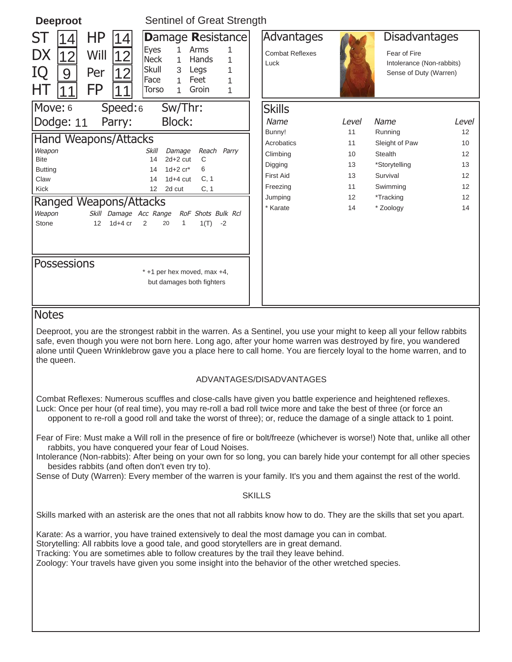| <b>Deeproot</b>                                                           | Sentinel of Great Strength                                                                                                                                                                                                                                                                                                                                                                                  |                                              |          |                                                                                             |                   |  |
|---------------------------------------------------------------------------|-------------------------------------------------------------------------------------------------------------------------------------------------------------------------------------------------------------------------------------------------------------------------------------------------------------------------------------------------------------------------------------------------------------|----------------------------------------------|----------|---------------------------------------------------------------------------------------------|-------------------|--|
| <b>HP</b><br>4<br>SI.<br> 14 <br>DX<br>Will<br>12<br>IQ<br>Per<br>9<br>FP | Damage Resistance<br><b>Eyes</b><br>1.<br>Arms<br>1<br><b>Neck</b><br>Hands<br>1<br>$\mathbf{1}$<br>Skull<br>Legs<br>3<br>1<br>Face<br>Feet<br>$\mathbf{1}$<br>1<br><b>Torso</b><br>Groin<br>$\mathbf{1}$<br>1                                                                                                                                                                                              | Advantages<br><b>Combat Reflexes</b><br>Luck |          | <b>Disadvantages</b><br>Fear of Fire<br>Intolerance (Non-rabbits)<br>Sense of Duty (Warren) |                   |  |
| Move: 6<br>Speed:6                                                        | Sw/Thr:                                                                                                                                                                                                                                                                                                                                                                                                     | <b>Skills</b>                                |          |                                                                                             |                   |  |
| Dodge: 11<br>Parry:                                                       | Block:                                                                                                                                                                                                                                                                                                                                                                                                      | Name                                         | Level    | Name                                                                                        | Level             |  |
| Hand Weapons/Attacks                                                      |                                                                                                                                                                                                                                                                                                                                                                                                             | Bunny!<br>Acrobatics                         | 11<br>11 | Running<br>Sleight of Paw                                                                   | 12<br>10          |  |
| Weapon                                                                    | Skill<br>Damage<br>Reach Parry                                                                                                                                                                                                                                                                                                                                                                              | Climbing                                     | 10       | <b>Stealth</b>                                                                              | 12                |  |
| <b>Bite</b><br><b>Butting</b>                                             | $2d+2$ cut<br>14<br>С<br>$1d+2$ $cr^*$<br>6<br>14                                                                                                                                                                                                                                                                                                                                                           | Digging                                      | 13       | *Storytelling                                                                               | 13                |  |
| Claw                                                                      | $1d+4$ cut<br>C, 1<br>14                                                                                                                                                                                                                                                                                                                                                                                    | <b>First Aid</b>                             | 13       | Survival                                                                                    | 12                |  |
| Kick                                                                      | C, 1<br>12<br>2d cut                                                                                                                                                                                                                                                                                                                                                                                        | Freezing                                     | 11       | Swimming                                                                                    | $12 \overline{ }$ |  |
| Ranged Weapons/Attacks                                                    |                                                                                                                                                                                                                                                                                                                                                                                                             | Jumping<br>* Karate                          | 12<br>14 | *Tracking<br>* Zoology                                                                      | 12<br>14          |  |
| Weapon<br>Skill Damage Acc Range<br>$1d+4$ cr<br>Stone<br>12 <sup>2</sup> | RoF Shots Bulk Rcl<br>2<br>20<br>1<br>1(T)<br>$-2$                                                                                                                                                                                                                                                                                                                                                          |                                              |          |                                                                                             |                   |  |
|                                                                           |                                                                                                                                                                                                                                                                                                                                                                                                             |                                              |          |                                                                                             |                   |  |
|                                                                           |                                                                                                                                                                                                                                                                                                                                                                                                             |                                              |          |                                                                                             |                   |  |
| Possessions                                                               |                                                                                                                                                                                                                                                                                                                                                                                                             |                                              |          |                                                                                             |                   |  |
|                                                                           | * +1 per hex moved, max +4,                                                                                                                                                                                                                                                                                                                                                                                 |                                              |          |                                                                                             |                   |  |
|                                                                           | but damages both fighters                                                                                                                                                                                                                                                                                                                                                                                   |                                              |          |                                                                                             |                   |  |
|                                                                           |                                                                                                                                                                                                                                                                                                                                                                                                             |                                              |          |                                                                                             |                   |  |
| <b>Notes</b>                                                              |                                                                                                                                                                                                                                                                                                                                                                                                             |                                              |          |                                                                                             |                   |  |
| the queen.                                                                | Deeproot, you are the strongest rabbit in the warren. As a Sentinel, you use your might to keep all your fellow rabbits<br>safe, even though you were not born here. Long ago, after your home warren was destroyed by fire, you wandered<br>alone until Queen Wrinklebrow gave you a place here to call home. You are fiercely loyal to the home warren, and to                                            |                                              |          |                                                                                             |                   |  |
|                                                                           |                                                                                                                                                                                                                                                                                                                                                                                                             | ADVANTAGES/DISADVANTAGES                     |          |                                                                                             |                   |  |
|                                                                           | Combat Reflexes: Numerous scuffles and close-calls have given you battle experience and heightened reflexes.<br>Luck: Once per hour (of real time), you may re-roll a bad roll twice more and take the best of three (or force an<br>opponent to re-roll a good roll and take the worst of three); or, reduce the damage of a single attack to 1 point.                                                     |                                              |          |                                                                                             |                   |  |
|                                                                           | Fear of Fire: Must make a Will roll in the presence of fire or bolt/freeze (whichever is worse!) Note that, unlike all other<br>rabbits, you have conquered your fear of Loud Noises.<br>Intolerance (Non-rabbits): After being on your own for so long, you can barely hide your contempt for all other species                                                                                            |                                              |          |                                                                                             |                   |  |
| besides rabbits (and often don't even try to).                            | Sense of Duty (Warren): Every member of the warren is your family. It's you and them against the rest of the world.                                                                                                                                                                                                                                                                                         |                                              |          |                                                                                             |                   |  |
|                                                                           |                                                                                                                                                                                                                                                                                                                                                                                                             | <b>SKILLS</b>                                |          |                                                                                             |                   |  |
|                                                                           |                                                                                                                                                                                                                                                                                                                                                                                                             |                                              |          |                                                                                             |                   |  |
|                                                                           | Skills marked with an asterisk are the ones that not all rabbits know how to do. They are the skills that set you apart.<br>Karate: As a warrior, you have trained extensively to deal the most damage you can in combat.<br>Storytelling: All rabbits love a good tale, and good storytellers are in great demand.<br>Tracking: You are sometimes able to follow creatures by the trail they leave behind. |                                              |          |                                                                                             |                   |  |

Zoology: Your travels have given you some insight into the behavior of the other wretched species.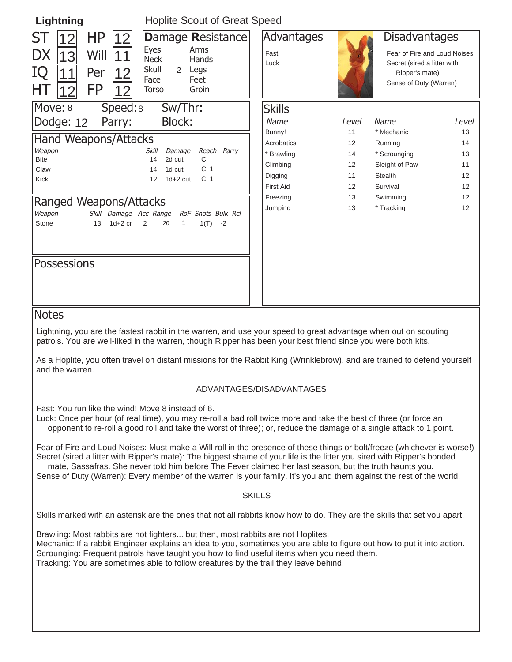| Lightning                                                                                                | <b>Hoplite Scout of Great Speed</b>                                                                                             |                            |       |                                                                                                                                 |              |
|----------------------------------------------------------------------------------------------------------|---------------------------------------------------------------------------------------------------------------------------------|----------------------------|-------|---------------------------------------------------------------------------------------------------------------------------------|--------------|
| <b>HP</b><br>ST<br>12<br><b>DX</b><br>Will<br>13<br>11<br>IQ<br>Per<br>12<br><b>FP</b><br>HТ<br>12<br>12 | Damage Resistance<br><b>Eyes</b><br>Arms<br><b>Neck</b><br><b>Hands</b><br>Skull<br>Legs<br>2<br>Face<br>Feet<br>Groin<br>Torso | Advantages<br>Fast<br>Luck |       | <b>Disadvantages</b><br>Fear of Fire and Loud Noises<br>Secret (sired a litter with<br>Ripper's mate)<br>Sense of Duty (Warren) |              |
| Move: 8<br>Speed:8                                                                                       | Sw/Thr:                                                                                                                         | <b>Skills</b>              |       |                                                                                                                                 |              |
| Dodge: 12<br>Parry:                                                                                      | <b>Block:</b>                                                                                                                   | Name                       | Level | Name                                                                                                                            | <i>Level</i> |
|                                                                                                          |                                                                                                                                 | Bunny!                     | 11    | * Mechanic                                                                                                                      | 13           |
| Hand Weapons/Attacks                                                                                     |                                                                                                                                 | Acrobatics                 | 12    | Running                                                                                                                         | 14           |
| Weapon<br><b>Bite</b>                                                                                    | <b>Skill</b><br>Reach Parry<br>Damage<br>2d cut<br>C<br>14                                                                      | * Brawling                 | 14    | * Scrounging                                                                                                                    | 13           |
| Claw                                                                                                     | C, 1<br>1d cut<br>14                                                                                                            | Climbing                   | 12    | Sleight of Paw                                                                                                                  | 11           |
| <b>Kick</b>                                                                                              | $1d+2$ cut<br>C, 1<br>12                                                                                                        | Digging                    | 11    | <b>Stealth</b>                                                                                                                  | 12           |
|                                                                                                          |                                                                                                                                 | <b>First Aid</b>           | 12    | Survival                                                                                                                        | 12           |
| Ranged Weapons/Attacks                                                                                   |                                                                                                                                 | Freezing                   | 13    | Swimming                                                                                                                        | 12           |
| Weapon<br>Skill Damage Acc Range                                                                         | RoF Shots Bulk Rcl                                                                                                              | Jumping                    | 13    | * Tracking                                                                                                                      | 12           |
| $1d+2$ cr<br>Stone<br>13                                                                                 | 2<br>20<br>1(T)<br>1<br>$-2$                                                                                                    |                            |       |                                                                                                                                 |              |
| <b>Possessions</b>                                                                                       |                                                                                                                                 |                            |       |                                                                                                                                 |              |
| <i><b>Notes</b></i>                                                                                      |                                                                                                                                 |                            |       |                                                                                                                                 |              |

#### Notes

Lightning, you are the fastest rabbit in the warren, and use your speed to great advantage when out on scouting patrols. You are well-liked in the warren, though Ripper has been your best friend since you were both kits.

As a Hoplite, you often travel on distant missions for the Rabbit King (Wrinklebrow), and are trained to defend yourself and the warren.

#### ADVANTAGES/DISADVANTAGES

Fast: You run like the wind! Move 8 instead of 6.

Luck: Once per hour (of real time), you may re-roll a bad roll twice more and take the best of three (or force an opponent to re-roll a good roll and take the worst of three); or, reduce the damage of a single attack to 1 point.

Fear of Fire and Loud Noises: Must make a Will roll in the presence of these things or bolt/freeze (whichever is worse!) Secret (sired a litter with Ripper's mate): The biggest shame of your life is the litter you sired with Ripper's bonded mate, Sassafras. She never told him before The Fever claimed her last season, but the truth haunts you.

Sense of Duty (Warren): Every member of the warren is your family. It's you and them against the rest of the world.

#### SKILLS

Skills marked with an asterisk are the ones that not all rabbits know how to do. They are the skills that set you apart.

Brawling: Most rabbits are not fighters... but then, most rabbits are not Hoplites. Mechanic: If a rabbit Engineer explains an idea to you, sometimes you are able to figure out how to put it into action. Scrounging: Frequent patrols have taught you how to find useful items when you need them. Tracking: You are sometimes able to follow creatures by the trail they leave behind.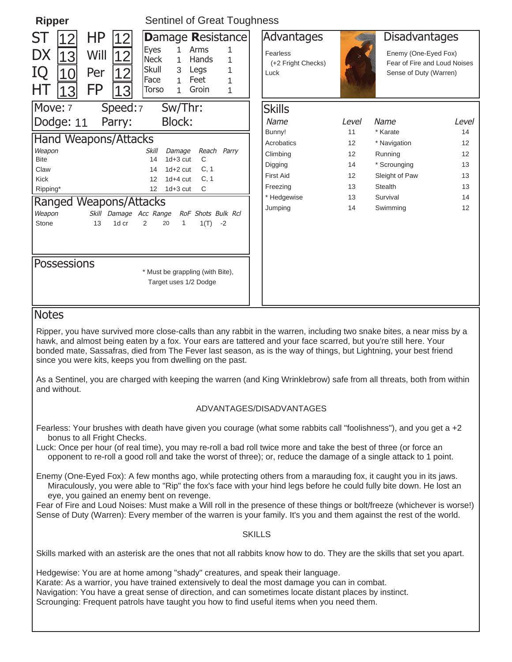| <b>Ripper</b>                                                                                                                                                                                                                                                                                                                                                                                                                               | <b>Sentinel of Great Toughness</b>                                                                                                                                                                                                                        |                                                                                                       |                                              |                                                                                                                 |                                              |  |  |  |
|---------------------------------------------------------------------------------------------------------------------------------------------------------------------------------------------------------------------------------------------------------------------------------------------------------------------------------------------------------------------------------------------------------------------------------------------|-----------------------------------------------------------------------------------------------------------------------------------------------------------------------------------------------------------------------------------------------------------|-------------------------------------------------------------------------------------------------------|----------------------------------------------|-----------------------------------------------------------------------------------------------------------------|----------------------------------------------|--|--|--|
| <b>HP</b><br>SТ<br> 12<br>DX<br> 13 <br>Will<br>IQ<br>Per<br>10<br><b>FP</b><br>ΗT<br>13<br>3                                                                                                                                                                                                                                                                                                                                               | Damage Resistance<br>$\mathbf{1}$<br>Eyes<br>Arms<br>1<br><b>Neck</b><br>$\mathbf{1}$<br>Hands<br>1<br>Skull<br>3<br>Legs<br>1<br>Face<br>Feet<br>$\mathbf{1}$<br>1<br>Torso<br>Groin<br>1<br>1                                                           | Advantages<br>Fearless<br>(+2 Fright Checks)<br>Luck                                                  |                                              | <b>Disadvantages</b><br>Enemy (One-Eyed Fox)<br>Fear of Fire and Loud Noises<br>Sense of Duty (Warren)          |                                              |  |  |  |
| Move: 7<br>Speed:7<br>Dodge: 11<br>Parry:                                                                                                                                                                                                                                                                                                                                                                                                   | Sw/Thr:<br><b>Block:</b>                                                                                                                                                                                                                                  | <b>Skills</b><br>Name                                                                                 | Level                                        | Name                                                                                                            | Level                                        |  |  |  |
| <b>Hand Weapons/Attacks</b><br>Weapon<br><b>Bite</b><br>Claw<br><b>Kick</b><br>Ripping*<br><b>Ranged Weapons/Attacks</b><br>Weapon<br>Skill Damage Acc Range<br>Stone<br>13<br>1d cr<br><b>Possessions</b>                                                                                                                                                                                                                                  | Reach Parry<br><b>Skill</b><br>Damage<br>$1d + 3$ cut<br>C<br>14<br>$1d+2$ cut<br>C, 1<br>14<br>12<br>$1d+4$ cut<br>C, 1<br>$1d + 3cut$<br>12<br>C<br>RoF Shots Bulk Rcl<br>$\overline{2}$<br>1(T)<br>20<br>1<br>$-2$<br>* Must be grappling (with Bite), | Bunny!<br>Acrobatics<br>Climbing<br>Digging<br><b>First Aid</b><br>Freezing<br>* Hedgewise<br>Jumping | 11<br>12<br>12<br>14<br>12<br>13<br>13<br>14 | * Karate<br>* Navigation<br>Running<br>* Scrounging<br>Sleight of Paw<br><b>Stealth</b><br>Survival<br>Swimming | 14<br>12<br>12<br>13<br>13<br>13<br>14<br>12 |  |  |  |
|                                                                                                                                                                                                                                                                                                                                                                                                                                             | Target uses 1/2 Dodge                                                                                                                                                                                                                                     |                                                                                                       |                                              |                                                                                                                 |                                              |  |  |  |
| <b>Notes</b><br>Ripper, you have survived more close-calls than any rabbit in the warren, including two snake bites, a near miss by a<br>hawk, and almost being eaten by a fox. Your ears are tattered and your face scarred, but you're still here. Your<br>bonded mate, Sassafras, died from The Fever last season, as is the way of things, but Lightning, your best friend<br>since you were kits, keeps you from dwelling on the past. |                                                                                                                                                                                                                                                           |                                                                                                       |                                              |                                                                                                                 |                                              |  |  |  |
| As a Sentinel, you are charged with keeping the warren (and King Wrinklebrow) safe from all threats, both from within<br>and without.                                                                                                                                                                                                                                                                                                       |                                                                                                                                                                                                                                                           |                                                                                                       |                                              |                                                                                                                 |                                              |  |  |  |
| ADVANTAGES/DISADVANTAGES                                                                                                                                                                                                                                                                                                                                                                                                                    |                                                                                                                                                                                                                                                           |                                                                                                       |                                              |                                                                                                                 |                                              |  |  |  |
| Fearless: Your brushes with death have given you courage (what some rabbits call "foolishness"), and you get a +2<br>bonus to all Fright Checks.                                                                                                                                                                                                                                                                                            |                                                                                                                                                                                                                                                           |                                                                                                       |                                              |                                                                                                                 |                                              |  |  |  |

Luck: Once per hour (of real time), you may re-roll a bad roll twice more and take the best of three (or force an opponent to re-roll a good roll and take the worst of three); or, reduce the damage of a single attack to 1 point.

Enemy (One-Eyed Fox): A few months ago, while protecting others from a marauding fox, it caught you in its jaws. Miraculously, you were able to "Rip" the fox's face with your hind legs before he could fully bite down. He lost an eye, you gained an enemy bent on revenge.

Fear of Fire and Loud Noises: Must make a Will roll in the presence of these things or bolt/freeze (whichever is worse!) Sense of Duty (Warren): Every member of the warren is your family. It's you and them against the rest of the world.

#### **SKILLS**

Skills marked with an asterisk are the ones that not all rabbits know how to do. They are the skills that set you apart.

Hedgewise: You are at home among "shady" creatures, and speak their language. Karate: As a warrior, you have trained extensively to deal the most damage you can in combat. Navigation: You have a great sense of direction, and can sometimes locate distant places by instinct. Scrounging: Frequent patrols have taught you how to find useful items when you need them.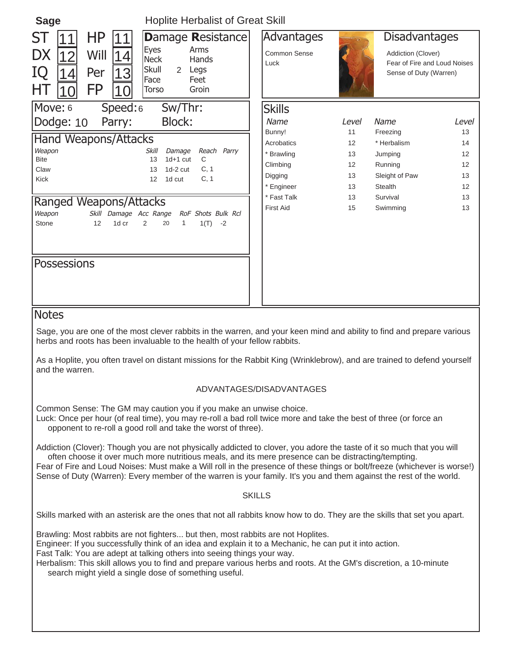| <b>Sage</b>                                                                                              | <b>Hoplite Herbalist of Great Skill</b>                                                                                         |                                    |             |                |                                                                                                      |  |  |
|----------------------------------------------------------------------------------------------------------|---------------------------------------------------------------------------------------------------------------------------------|------------------------------------|-------------|----------------|------------------------------------------------------------------------------------------------------|--|--|
| HP<br><b>ST</b><br><b>DX</b><br>Will<br>12<br>IQ<br>Per<br> 3<br>$\overline{4}$<br><b>FP</b><br>HТ<br>10 | Damage Resistance<br><b>Eyes</b><br>Arms<br><b>Neck</b><br>Hands<br>Skull<br>Legs<br>2<br>Face<br>Feet<br>Groin<br><b>Torso</b> | Advantages<br>Common Sense<br>Luck |             |                | <b>Disadvantages</b><br>Addiction (Clover)<br>Fear of Fire and Loud Noises<br>Sense of Duty (Warren) |  |  |
| Move: 6<br>Speed:6                                                                                       | Sw/Thr:                                                                                                                         | <b>Skills</b>                      |             |                |                                                                                                      |  |  |
| Dodge: 10<br>Parry:                                                                                      | <b>Block:</b>                                                                                                                   | Name                               | Level       | Name           | Level                                                                                                |  |  |
|                                                                                                          | Bunny!                                                                                                                          | 11                                 | Freezing    | 13             |                                                                                                      |  |  |
| <b>Hand Weapons/Attacks</b>                                                                              | Acrobatics                                                                                                                      | 12                                 | * Herbalism | 14             |                                                                                                      |  |  |
| Weapon<br><b>Bite</b>                                                                                    | Reach Parry<br><b>Skill</b><br>Damage<br>$1d+1$ cut<br>C<br>13                                                                  | * Brawling                         | 13          | Jumping        | 12                                                                                                   |  |  |
| Claw                                                                                                     | C, 1<br>$1d-2$ cut<br>13                                                                                                        | Climbing                           | 12          | Running        | 12                                                                                                   |  |  |
| Kick                                                                                                     | C, 1<br>12<br>1d cut                                                                                                            | Digging                            | 13          | Sleight of Paw | 13                                                                                                   |  |  |
|                                                                                                          |                                                                                                                                 | * Engineer                         | 13          | <b>Stealth</b> | 12                                                                                                   |  |  |
| <b>Ranged Weapons/Attacks</b>                                                                            |                                                                                                                                 | * Fast Talk                        | 13          | Survival       | 13                                                                                                   |  |  |
| Skill Damage Acc Range<br>Weapon<br>12<br>1d cr<br>Stone                                                 | RoF Shots Bulk Rcl<br>2<br>$\mathbf{1}$<br>$1(T) -2$<br>20                                                                      | <b>First Aid</b>                   | 15          | Swimming       | 13                                                                                                   |  |  |
| <b>Possessions</b>                                                                                       |                                                                                                                                 |                                    |             |                |                                                                                                      |  |  |

#### **Notes**

Sage, you are one of the most clever rabbits in the warren, and your keen mind and ability to find and prepare various herbs and roots has been invaluable to the health of your fellow rabbits.

As a Hoplite, you often travel on distant missions for the Rabbit King (Wrinklebrow), and are trained to defend yourself and the warren.

#### ADVANTAGES/DISADVANTAGES

Common Sense: The GM may caution you if you make an unwise choice.

Luck: Once per hour (of real time), you may re-roll a bad roll twice more and take the best of three (or force an opponent to re-roll a good roll and take the worst of three).

Addiction (Clover): Though you are not physically addicted to clover, you adore the taste of it so much that you will often choose it over much more nutritious meals, and its mere presence can be distracting/tempting. Fear of Fire and Loud Noises: Must make a Will roll in the presence of these things or bolt/freeze (whichever is worse!)

Sense of Duty (Warren): Every member of the warren is your family. It's you and them against the rest of the world.

#### SKILLS

Skills marked with an asterisk are the ones that not all rabbits know how to do. They are the skills that set you apart.

Brawling: Most rabbits are not fighters... but then, most rabbits are not Hoplites.

Engineer: If you successfully think of an idea and explain it to a Mechanic, he can put it into action.

Fast Talk: You are adept at talking others into seeing things your way.

Herbalism: This skill allows you to find and prepare various herbs and roots. At the GM's discretion, a 10-minute search might yield a single dose of something useful.